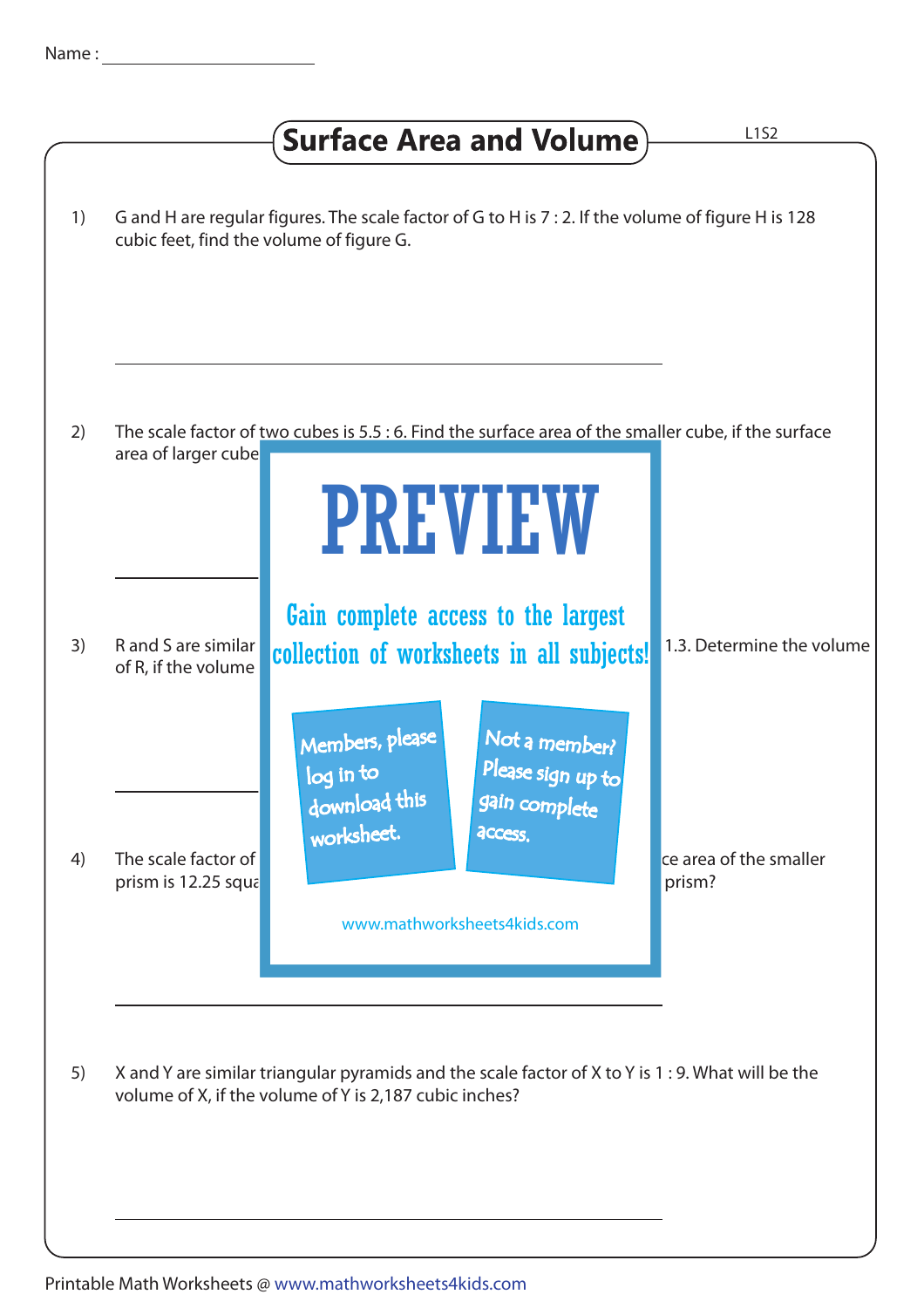